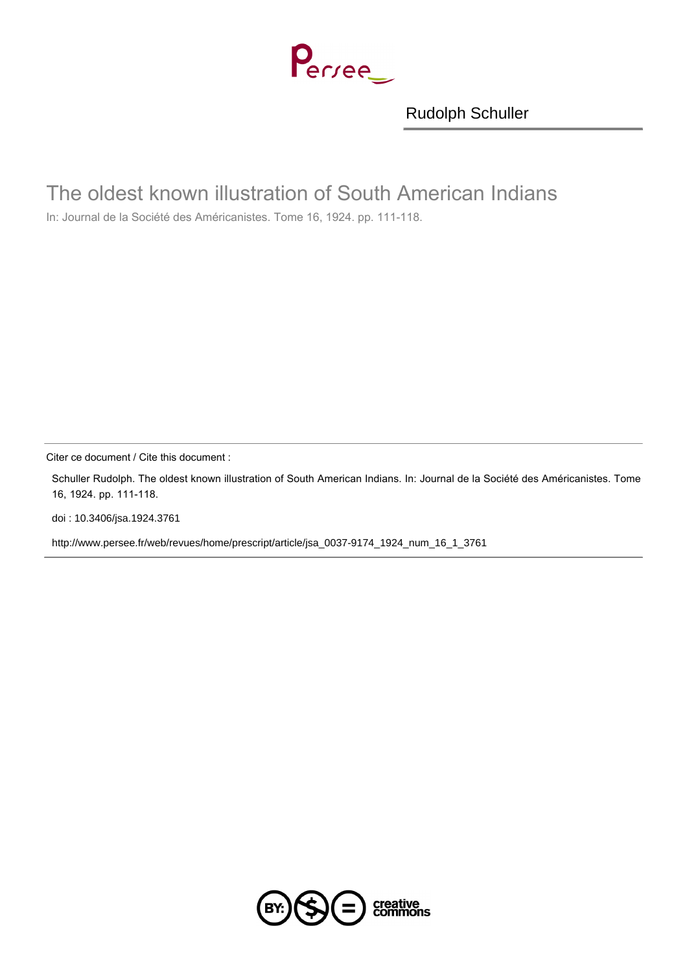Perree

[Rudolph Schuller](http://www.persee.fr/web/revues/home/prescript/author/auteur_jsa_1071)

## The oldest known illustration of South American Indians

In: Journal de la Société des Américanistes. Tome 16, 1924. pp. 111-118.

Citer ce document / Cite this document :

Schuller Rudolph. The oldest known illustration of South American Indians. In: Journal de la Société des Américanistes. Tome 16, 1924. pp. 111-118.

[doi : 10.3406/jsa.1924.3761](http://dx.doi.org/10.3406/jsa.1924.3761)

[http://www.persee.fr/web/revues/home/prescript/article/jsa\\_0037-9174\\_1924\\_num\\_16\\_1\\_3761](http://www.persee.fr/web/revues/home/prescript/article/jsa_0037-9174_1924_num_16_1_3761)

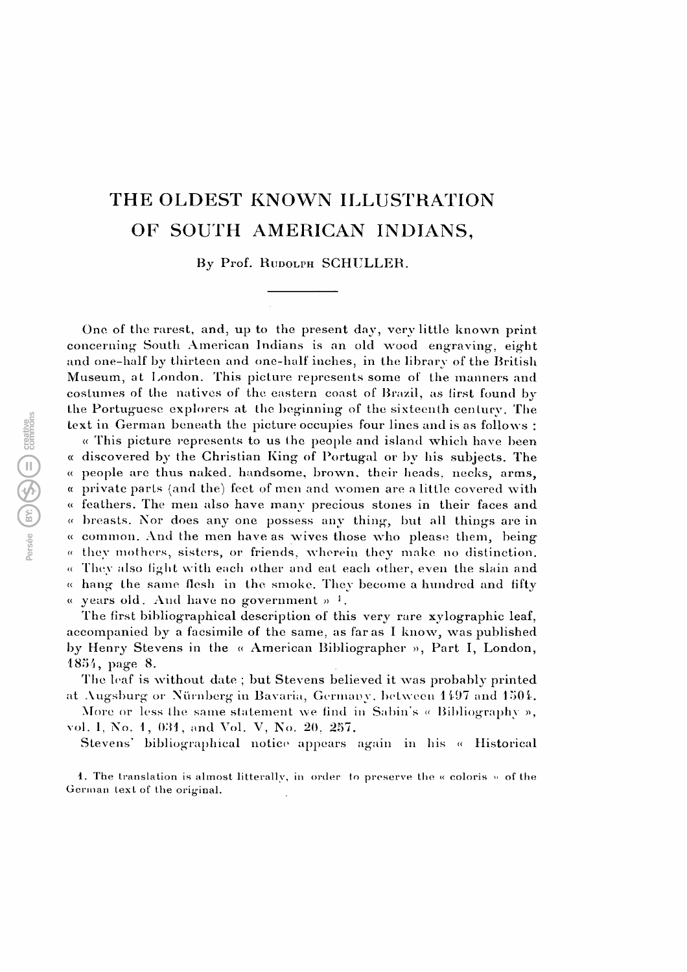## THE OLDEST KNOWN ILLUSTRATION OF SOUTH AMERICAN INDIANS,

By Prof. RUDOLPH SCHULLER.

One of the rarest, and, up to the present day, very little known print concerning South American Indians is an old wood engraving-, eight and one-half by thirteen and one-half inches, in the library of the British Museum, at London. This picture represents some of the manners and costumes of the natives of the eastern coast of Brazil, as first found by the Portuguese explorers at the beginning of the sixteenth century. The text in German beneath the picture occupies four lines and is as follows :

« This picture represents to us the people and island which have been « discovered by the Christian King of Portugal or by his subjects. The « people are thus naked, handsome, brown, their heads, necks, arms, « private parts (and the) feet of men and women are a little covered with « feathers. The men also have many precious stones in their faces and «breasts. Nor does any one possess any thing, but all things are in « common. And the men have as wives those who please them, being « they mothers, sisters, or friends, wherein they make no distinction. « They also fight with each other and eat each other, even the slain and « hang the same flesh in the smoke. They become a hundred and fifty « years old. And have no government »  $^{-1}$ .

The first bibliographical description of this very rare xylographic leaf, accompanied by a facsimile of the same, as far as I know, was published by Henry Stevens in the « American Bibliographer », Part I, London, 1854, page 8.

The leaf is without date ; but Stevens believed it was probably printed at Augsburg or Nurnberg in Bavaria, Germany, between 1497 and 1504.

More or less the same statement we find in Sabin's « Bibliography », vol. 1, No. 1, 031, and Vol. V, No. 20, 257.

Stevens' bibliographical notice appears again in his « Historical

1. The translation is almost litterally, in order to preserve the  $\kappa$  coloris » of the German text of the original.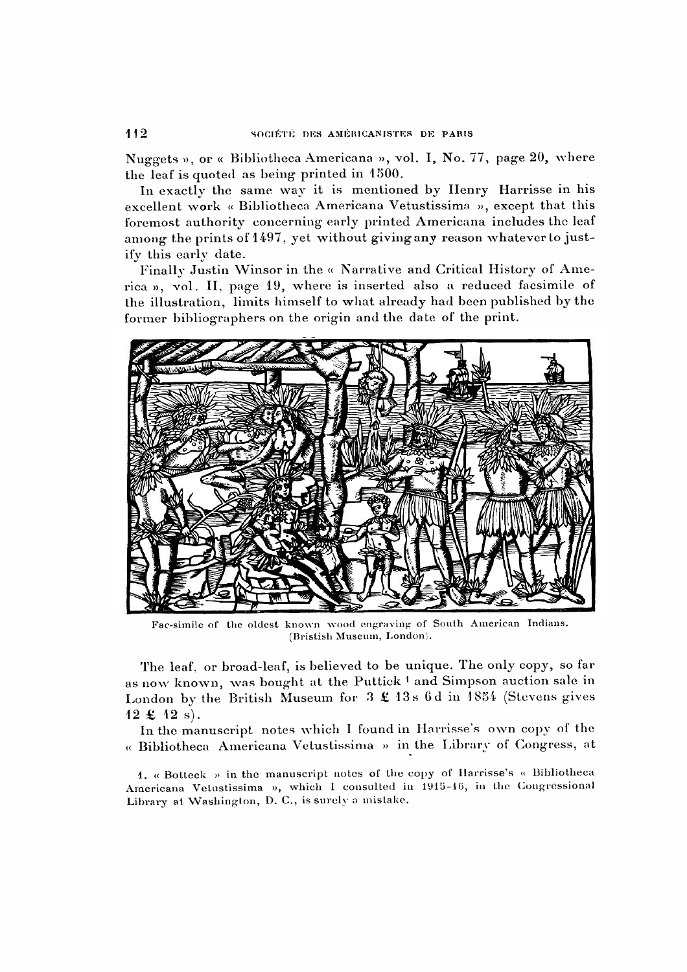Nuggets », or « Bibliotheca Americana », vol. I, No. 77, page 20, where the leaf is quoted as being printed in 1500.

In exactly the same way it is mentioned by Henry Harrisse in his excellent work « Bibliotheca Americana Vetustissime », except that this foremost authority concerning early printed Americana includes the leaf among the prints of 1497, yet without giving any reason whatever to justify this early date.

Finally Justin Winsor in the « Narrative and Critical History of Ameica », vol. II, page 19, where is inserted also a reduced facsimile of the illustration, limits himself to what already had been published by the former bibliographers on the origin and the date of the print.



Fac-simile of the oldest known wood engraving of South American Indians. (Bristish Museum, London).

The leaf, or broad-leaf, is believed to be unique. The only copy, so far as now known, was bought at the Puttick 1 and Simpson auction sale in London by the British Museum for  $3 \text{ } \pounds 13$ s 6d in 1854 (Stevens gives  $12 \pounds 12 s$ .

In the manuscript notes which I found in Harrisse's own copy of the «Bibliotheca Americana Vetustissima » in the Library of Congress, at

1. « Botteck » in the manuscript notes of the copy of Harrisse's « Bibliotheca Americana Vetustissima », which I consulted in 1915-16, in the Congressional Library at Washington, D. C., is surely a mistake.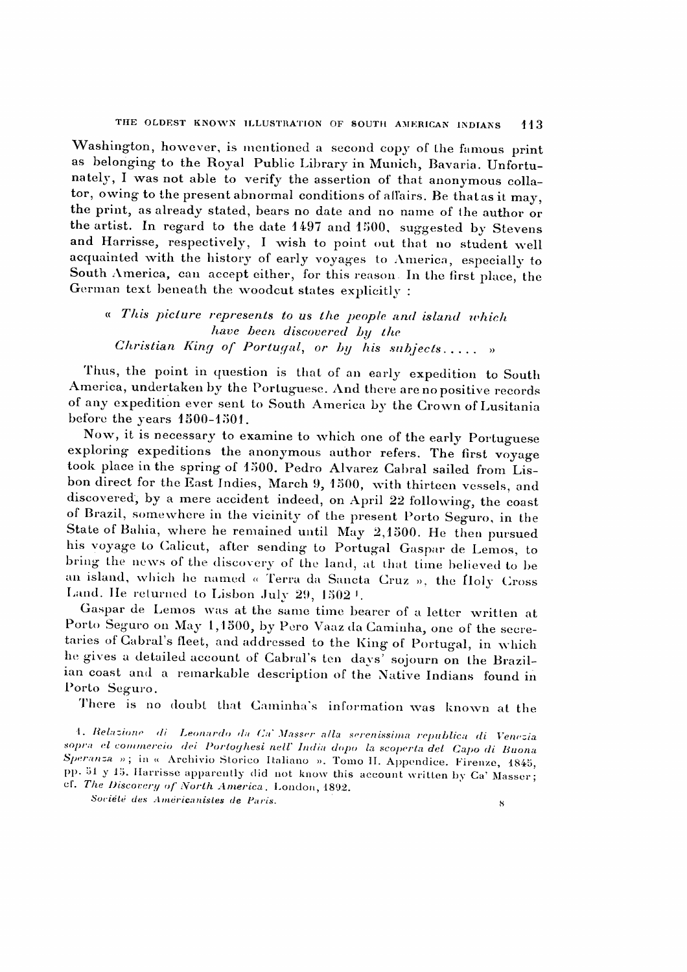Washington, however, is mentioned a second copy of the famous print as belonging to the Royal Public Library in Munich, Bavaria. Unfortuately, I was not able to verify the assertion of that anonymous colla tor, owing to the present abnormal conditions of affairs. Be that as it may, the print, as already stated, bears no date and no name of the author or the artist. In regard to the date 1497 and 1500, suggested by Stevens and Harrisse, respectively, I wish to point out that no student well acquainted with the history of early voyages to America, especially to South America, can accept either, for this reason. In the first place, the German text beneath the woodcut states explicitly :

« This picture represents to us the people and island which have been discovered by the Christian King of Portugal, or by his subjects. .... »

Thus, the point in question is that of an early expedition to South America, undertaken by the Portuguese. And there are no positive records of any expedition ever sent to South America by the Grown of Lusitania before the years 1500-1501.

Now, it is necessary to examine to which one of the early Portuguese exploring expeditions the anonymous author refers. The first voyage took place in the spring of 1500. Pedro Alvarez Gabral sailed from Lis bon direct for the East Indies, March 9, 1500, with thirteen vessels, and discovered; by a mere accident indeed, on April 22 following, the coast of Brazil, somewhere in the vicinity of the present Porto Seguro, in the State of Bahia, where he remained until May 2,1500. He then pursued his voyage to Calicut, after sending to Portugal Gaspar de Lemos, to bring the news of the discovery of the land, at that time believed to be an island, which he named « Terra da Sancta Cruz », the Йо1у Cross Land. He returned to Lisbon July 29, 1502<sup>1</sup>.

Gaspar de Lemos was at the same time bearer of a letter written at Porto Seguro on May 1,1500, by Pero Vaaz da Caminha, one of the secre taries of Cabral's fleet, and addressed to the King of Portugal, in which he gives a detailed account of Cabral's ten days' sojourn on the Brazil ian coast and a remarkable description of the Native Indians found in Porto Seguro.

There is no doubt that Caminha's information was known at the

1. Relazione di Leonardo da. Ca1 Masser alla serenissima republica di Venezia sopra el commercio dei Portoghesi nelV India dopo la scoperta del Capo di Buona Speranza »; in « Archivio Storico Italiano ». Tomo II. Appendice. Firenze, 1845, pp. 51 y 15. Harrisse apparently did not know this account written by Ca' Masser; cf. The Discovery of North America, London, 1892. Société des Amérieanisles de Paris. •'■;'' <sup>8</sup>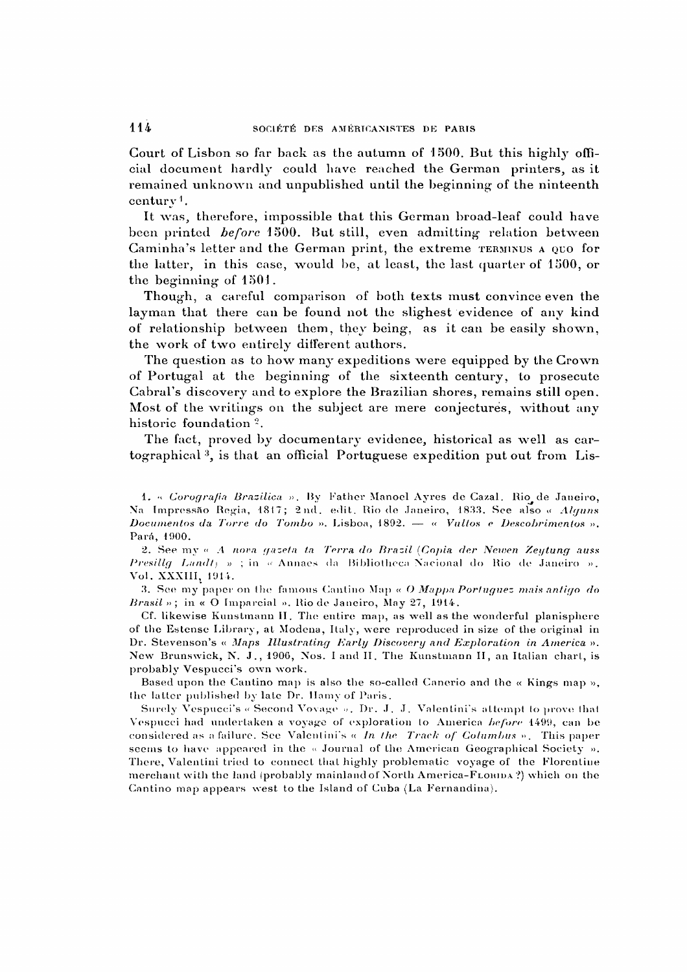Court of Lisbon so far back as the autumn of 1500. But this highly offi cial document hardly could have reached the German printers, as it remained unknown and unpublished until the beginning of the ninteenth  $century<sup>1</sup>$ .

It was, therefore, impossible that this German broad-leaf could have been printed before 1500. But still, even admitting relation between Gaminha's letter and the German print, the extreme terminus a quo for the latter, in this case, would be, at least, the last quarter of 1500, or the beginning of 1501.

Though, a careful comparison of both texts must convince even the layman that there can be found not the slighest evidence of any kind of relationship between them, they being, as it can be easily shown, the work of two entirely different authors.

The question as to how many expeditions were equipped by the Grown of Portugal at the beginning of the sixteenth century, to prosecute Cabral's discovery and to explore the Brazilian shores, remains still open. Most of the writings on the subject are mere conjectures, without any historic foundation<sup>2</sup>.

The fact, proved by documentary evidence, historical as well as car tographical 3, is that an official Portuguese expedition put out from Lis-

1. «. Corografia Brazilica ». By Father Manoel Ayres de Cazal. Rio de Janeiro, Na Impressâo Regia, 1817; 2nd. edit. Rio de Janeiro, 1833. See also « Alguns Documentos da Torre do Tombo ». Lisboa, 1892.  $-$  « Vultos e Descobrimentos ». Para, 1900.

2. See my «A nova gazeta ta Terra do Brazil [Copia der Newen Zeytung auss Presillg Landt) » ; in « Annaes da Bibliotheca Nacionál do Rio de Janeiro ». Vol. XXXIII; 1914.

3. See my paper on the famous Cantino Map  $\alpha$  O Mappa Portuguez mais antigo do Brasil»; in « O Imparcial ». Rio de Janeiro, May 27, 1914.

Cf. likewise Kunstmann II. The entire map, as well as the wonderful planisphere of the Estensè Library, at Modena, Italy, were reproduced in size of the original in Dr. Stevenson's « Maps Illustrating Early Discovery and Exploration in America ». New Brunswick, N. J., 1906, Nos. I and II. The Kunstmann II, an Italian chart, is probably Vespucci's own work.

Based upon the Cantino map is also the so-called Canerio and the  $\alpha$  Kings map », the latter published by late Dr. Hamy of Paris.

Surely Vespucci's « Second Voyage ». Dr. J. J. Valentini's attempt to prove that Vespucci had undertaken a voyage of exploration to America before 1499, can be considered as a failure. See Valentini's  $\alpha$  In the Track of Columbus ». This paper seems to have appeared in the « Journal of the American Geographical Society ». There, Valentini tried to connect that highly problematic voyage of the Florentine merchant with the land (probably mainland of North America-FLORIDA?) which on the Cantino map appears west to the Island of Cuba (La Fernandina).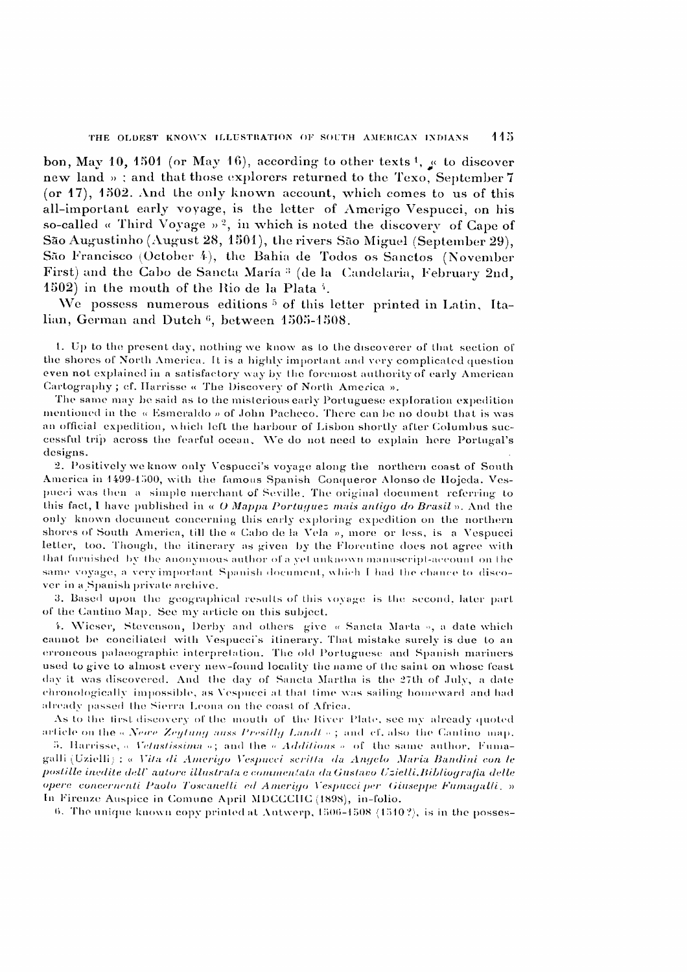bon, May 10, 1501 (or May 16), according to other texts  ${\bf 1}$ ,  ${\bf g}$  to discover new land »; and that those explorers returned to the Texo, September 7 (or 17), 1502. And the only known account, which comes to us of this all-important early voyage, is the letter of Amerigo Vespucci, on his so-called « Third Voyage »<sup>2</sup>, in which is noted the discovery of Cape of Sao Augustinho (August 28, 1501), the rivers Sao Miguel (September 29), Sao Francisco (October 4), the Bahia de Todos os Sanctos (November First) and the Gabo de Sancta Maria 3 (de la Candelaria, February 2nd, 1502) in the mouth of the Rio de la Plata  $\frac{1}{4}$ .

We possess numerous editions<sup>5</sup> of this letter printed in Latin, Italian, German and Dutch<sup>6</sup>, between 1505-1508.

1. Up to the present day, nothing we know as to the discoverer of that section of the shores of North America. It is a highly important and very complicated question even not explained in a satisfactory way by the foremost authority of early American Cartography; cf. Harrisse « The Discovery of North America ».

The same may be said ás to the misterious early Portuguese exploration expedition mentioned in the « Esmeraldo » of John Pacheco. There can be no doubt that is was an official expedition, which left the harbour of Lisbon shortly after Columbus suc cessful trip across the fearful ocean. We do not need to explain here Portugal's designs.<br>- 2. Positively we know only Vespucci's voyage along the northern coast of South

America in 1499-1500, with the famous Spanish Conqueror Alonso de Hojeda. Ves pucci was then a simple merchant of Seville. The original document referring to this fact, I have published in  $\alpha$  O Mappa Portuguez mais antigo do Brasil ». And the only known document concerning this early exploring expedition on the northern shores of South America, till the « Cabo de la Vela », more or less, is a Vespucci letter, too. Though, the itinerary as given by the Florentine does not agree with that furnished by the anonymous author of a yet unknown manuscript-account on the same voyage, a very important Spanish document, which I had the chance to disco ver in a Spanish private archive.

3. Based upon the geographical results of this voyage is the second, later part of the Cantino Map. See my article on this subject.

4. Wieser, Stevenson, Derby and others give « Sancta Marta », a date which cannot be conciliated with Vespucci's itinerary. That mistake surely is due to an erroneous palaeographic interpretation. The old Portuguese and Spanish mariners used to give to almost every new-found locality the name of the saint on whose feast day it was discovered. And the day of Sancta Martha is the 27th of July, a date chronologically impossible, as Vespucci at that time was sailing homeward and had already passed the Sierra Leona on the coast of Africa.

As to the first discovery of the mouth of the River Plate, see my already quoted article on the « Newe Zeytung auss Presillg Landt »; and cf. also the Cantino map.

5. Harrisse,  $\alpha$  Vetustissima  $\alpha$ ; and the  $\alpha$  Additions  $\alpha$  of the same author. Fumagalli (Uzielli) : « Vita di Amerigo Vespucci scritta da Angelo Maria Bandini con le postille inédite delV autore illustrata e commenlata da Gustavo Uzielli. Bibliografia delle opere concernenti Paolo Toscanelli ed Amerigo Vespucci per Giuseppe Fumagalli. » In Firenze Auspice in Comune April MDCCCIIC (1898), in-folio.

6. The unique known copy printed at Antwerp, 1506-1508 (1510?), is in the posses-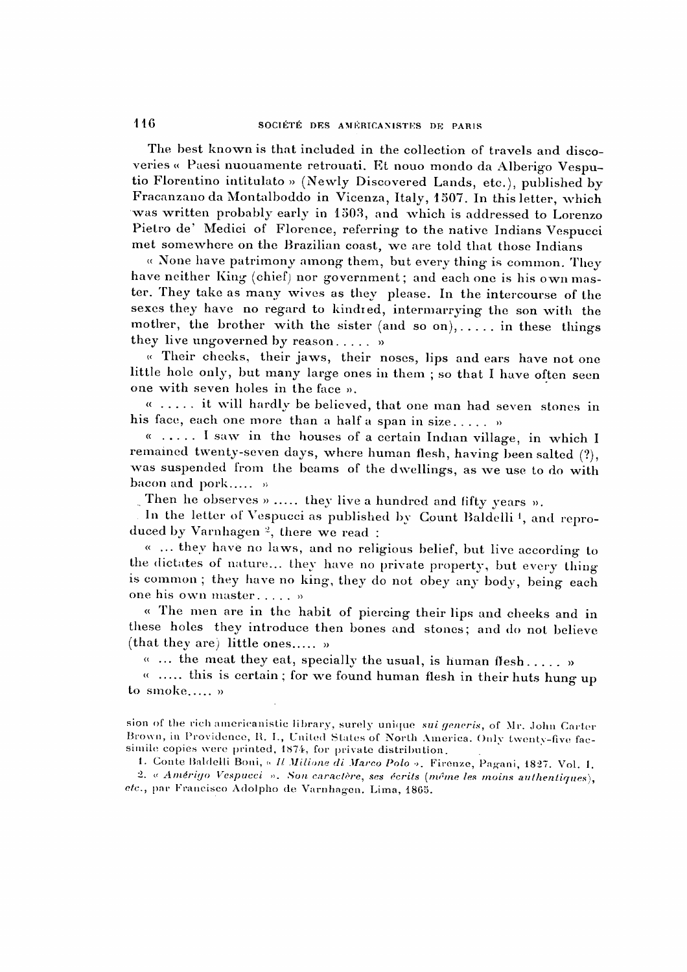The best known is that included in the collection of travels and disco veries « Paesi nuouamente retrouati. Et nouo mondo da Alberigo Vesputio Florentino intitulato » (Newly Discovered Lands; etc.), published bj Fracanzano da Montalboddo in Vicenza, Italy, 1507. In this letter, which was written probably early in 1303, and which is addressed to Lorenzo Pietro de' Medici of Florence, referring to the native Indians Vespucci met somewhere on the Brazilian coast, we are told that those Indians

« None have patrimony among them, but every thing is common. They have neither King (chief) nor government; and each one is his own maser. They take as many wives as they please. In the intercourse of the sexes they have no regard to kindred, intermarrying the son with the mother, the brother with the sister (and so on),..... in these things they live ungoverned by reason..... »

« Their cheeks, their jaws, their noses, lips and ears have not one little hole only, but many large ones in them ; so that I have often seen one with seven holes in the face ».

« ..... it will hardly be believed, that one man had seven stones in his face, each one more than a half a span in size..... »

« ..... I saw in the houses of a certain Indian village, in which I remained twenty-seven days, where human flesh, having been salted (?), was suspended from the beams of the dwellings, as we use to do with bacon and pork..... »

Then he observes » ..... they live a hundred and fifty years ».

In the letter of Vespucci as published by Count Baldelli<sup>1</sup>, and reproduced by Varnhagen 2, there we read :

« ... they have no laws, and no religious belief, but live according to the dictates of nature... they have no private property, but every thing s common ; they have no king, they do not obey any body, being each one his own master..... »

« The men are in the habit of piercing their lips and cheeks and in these holes they introduce then bones and stones; and do not believe (that they are) little ones..... »

 $\alpha$  ... the meat they eat, specially the usual, is human flesh..... »

 $\kappa$  ..... this is certain; for we found human flesh in their huts hung up to smoke  $\ldots$  »

sion of the rich americanistic library, surely unique sui generis, of Mr. John Carter Brown, in Providence, R. I., United States of North America. Only twenty-five fac simile copies were printed, 1874, for private distribution.

1. Conte Baldelli Boni, « Il Milione di Marco Polo ». Firenze, Pagani, 1827. Vol. I. 2. « Amérigo Vespucci ». Son caractère, ses écrits (même les moins authentiques), etc., par Francisco Adolpho de Varnhagen. Lima, 1865.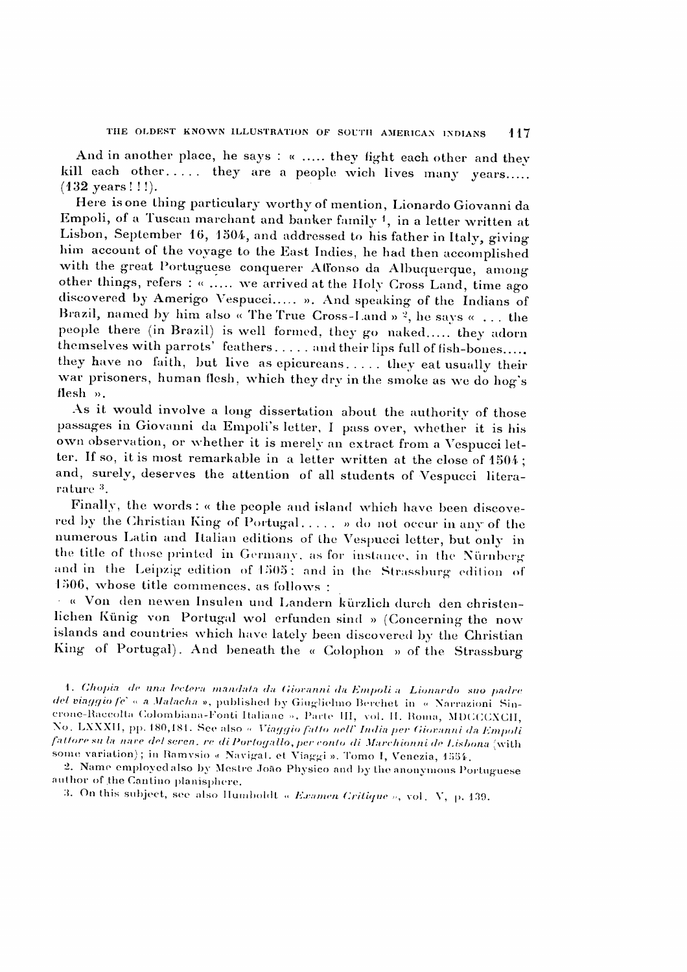And in another place, he says : « ..... they fight each other and they kill each other..... they are a people wich lives many years.....  $(132 \text{ years}!!!)$ .

Here isone thing particulary worthy of mention, Lionardo Giovanni da Empoli, of a Tuscan marchant and banker family <sup>1</sup>, in a letter written at Lisbon, September 16, 1504, and addressed to his father in Italy, giving him account of the voyage to the East Indies, he had then accomplished, with the great Portuguese conquerer Affonso da Albuquerque, among other things, refers : « ..... we arrived at the Holy Cross Land, time ago discovered by Amerigo Vespucci. ». And speaking of the Indians of Brazil, named by him also « The True Cross-Land »  $\frac{3}{2}$ , he says « ... the people there (in Brazil) is well formed, they go naked..... they adorn themselves with parrots' feathers .... and their lips full of fish-bones..... they have no faith, but live as epicureans. .... they eat usually their war prisoners, human flesh, which they dry in the smoke as we do hog's flesh ».

As it would involve a long dissertation about the authority of those passages in Giovanni da Empoli's letter, I pass over, whether it is his own observation, or whether it is merely an extract from á Vespucci let ter. If so, it is most remarkable in a letter written at the close of 1504; and, surely, deserves the attention of all students of Vespucci literarature 3.

Finally, the words : « the people and island which have been discovered by the Christian King of Portugal. .... » do not occur in any of the numerous Latin and Italian editions of the Vespucci letter, but only in the title of those printed in Germany, as for instance, in the Nurnberg and in the Leipzig edition of 1505 ; and in the Strassburg edition of 1506, whose title commences, as follows :

• « Von den newen Insulen und Landern kiirzlich durch den christenlichen Künig von Portugal wol erfunden sind » (Concerning the now islands and countries which have lately been discovered by the Christian King of Portugal). And beneath the « Colophon » of the Strassburg

1. Chopia de una lectera mandata da Giovanni da Empoli a Lionardó suo padre del viaggio /e' « a Malacha », published by Giuglielmo Berchet in « Narrazioni Sincrone-Raccolta Colombiana-Fonti Italiane ». Parte III, vol. II. Roma, MDGCCXCII, No. LXXXII, pp. 180,181. See also « Viaggio fatto nell" India per Giovanni da Empoli fattore su la nave del seren. re di Portogallo, per conto di Marchionni de Lisbona (with some variation); in Ramvsio « Navigat. et Viaggi ». Tomo I, Venezia, 1554.

2. Name employedalso by Mestre Joao Physico and by the anonymous Portuguese author of the Cantino planisphere.

3. On this subject, see also Ilumboldt « Examen Critique », vol. V, p. 139.